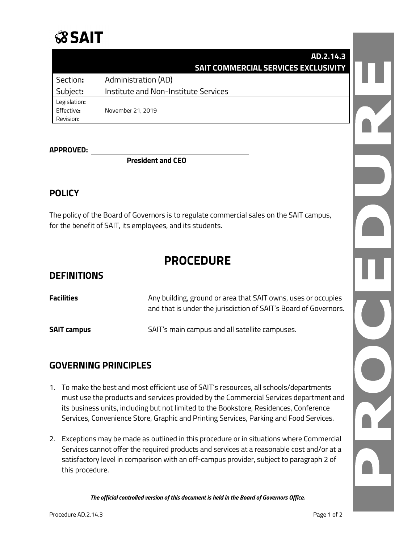# **SSAIT**

### **AD.2.14.3 SAIT COMMERCIAL SERVICES EXCLUSIVITY** Section**:** Administration (AD) Subject**:** Institute and Non-Institute Services Legislation**:**  Effective**:** November 21, 2019 Revision:

#### **APPROVED:**

**President and CEO**

### **POLICY**

The policy of the Board of Governors is to regulate commercial sales on the SAIT campus, for the benefit of SAIT, its employees, and its students.

## **PROCEDURE**

### **DEFINITIONS**

| <b>Facilities</b>  | Any building, ground or area that SAIT owns, uses or occupies<br>and that is under the jurisdiction of SAIT's Board of Governors. |
|--------------------|-----------------------------------------------------------------------------------------------------------------------------------|
| <b>SAIT campus</b> | SAIT's main campus and all satellite campuses.                                                                                    |

### **GOVERNING PRINCIPLES**

- 1. To make the best and most efficient use of SAIT's resources, all schools/departments must use the products and services provided by the Commercial Services department and its business units, including but not limited to the Bookstore, Residences, Conference Services, Convenience Store, Graphic and Printing Services, Parking and Food Services.
- 2. Exceptions may be made as outlined in this procedure or in situations where Commercial Services cannot offer the required products and services at a reasonable cost and/or at a satisfactory level in comparison with an off-campus provider, subject to paragraph 2 of this procedure.

*The official controlled version of this document is held in the Board of Governors Office.*